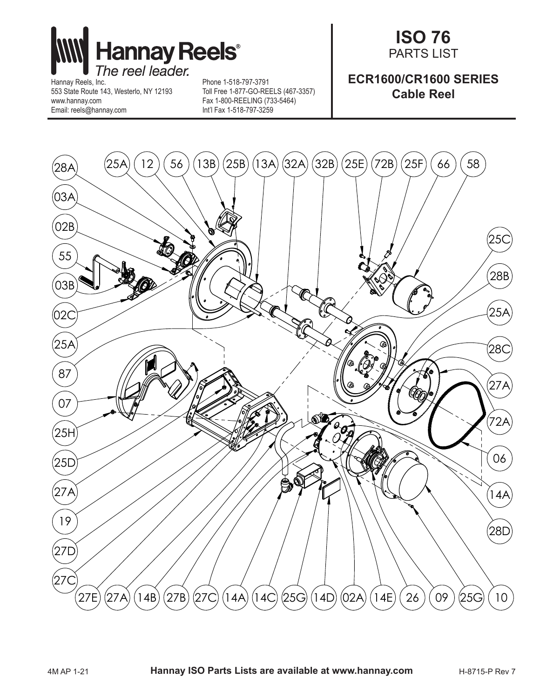

553 State Route 143, Westerlo, NY 12193 www.hannay.com Email: reels@hannay.com

Phone 1-518-797-3791 Toll Free 1-877-GO-REELS (467-3357) Fax 1-800-REELING (733-5464) Int'l Fax 1-518-797-3259

## **ISO 76** PARTS LIST

## **ECR1600/CR1600 SERIES Cable Reel**